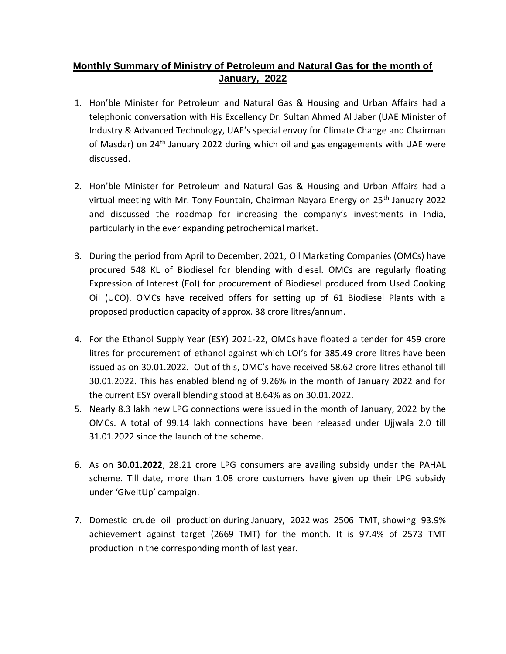## **Monthly Summary of Ministry of Petroleum and Natural Gas for the month of January, 2022**

- 1. Hon'ble Minister for Petroleum and Natural Gas & Housing and Urban Affairs had a telephonic conversation with His Excellency Dr. Sultan Ahmed Al Jaber (UAE Minister of Industry & Advanced Technology, UAE's special envoy for Climate Change and Chairman of Masdar) on 24<sup>th</sup> January 2022 during which oil and gas engagements with UAE were discussed.
- 2. Hon'ble Minister for Petroleum and Natural Gas & Housing and Urban Affairs had a virtual meeting with Mr. Tony Fountain, Chairman Nayara Energy on 25<sup>th</sup> January 2022 and discussed the roadmap for increasing the company's investments in India, particularly in the ever expanding petrochemical market.
- 3. During the period from April to December, 2021, Oil Marketing Companies (OMCs) have procured 548 KL of Biodiesel for blending with diesel. OMCs are regularly floating Expression of Interest (EoI) for procurement of Biodiesel produced from Used Cooking Oil (UCO). OMCs have received offers for setting up of 61 Biodiesel Plants with a proposed production capacity of approx. 38 crore litres/annum.
- 4. For the Ethanol Supply Year (ESY) 2021-22, OMCs have floated a tender for 459 crore litres for procurement of ethanol against which LOI's for 385.49 crore litres have been issued as on 30.01.2022. Out of this, OMC's have received 58.62 crore litres ethanol till 30.01.2022. This has enabled blending of 9.26% in the month of January 2022 and for the current ESY overall blending stood at 8.64% as on 30.01.2022.
- 5. Nearly 8.3 lakh new LPG connections were issued in the month of January, 2022 by the OMCs. A total of 99.14 lakh connections have been released under Ujjwala 2.0 till 31.01.2022 since the launch of the scheme.
- 6. As on **30.01.2022**, 28.21 crore LPG consumers are availing subsidy under the PAHAL scheme. Till date, more than 1.08 crore customers have given up their LPG subsidy under 'GiveItUp' campaign.
- 7. Domestic crude oil production during January, 2022 was 2506 TMT, showing 93.9% achievement against target (2669 TMT) for the month. It is 97.4% of 2573 TMT production in the corresponding month of last year.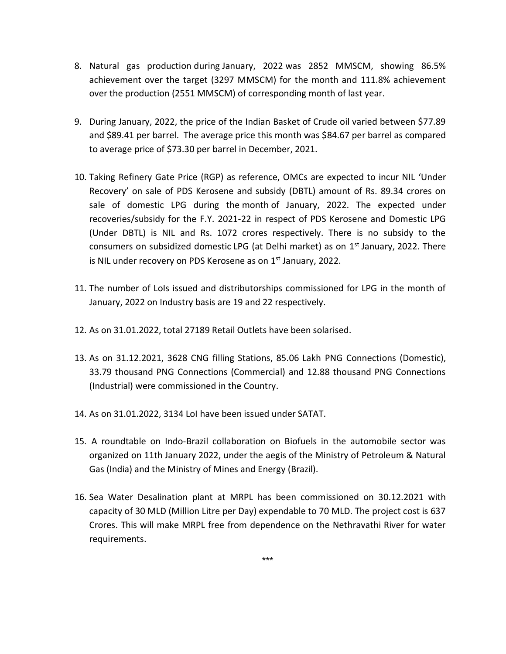- 8. Natural gas production during January, 2022 was 2852 MMSCM, showing 86.5% achievement over the target (3297 MMSCM) for the month and 111.8% achievement over the production (2551 MMSCM) of corresponding month of last year.
- 9. During January, 2022, the price of the Indian Basket of Crude oil varied between \$77.89 and \$89.41 per barrel. The average price this month was \$84.67 per barrel as compared to average price of \$73.30 per barrel in December, 2021.
- 10. Taking Refinery Gate Price (RGP) as reference, OMCs are expected to incur NIL 'Under Recovery' on sale of PDS Kerosene and subsidy (DBTL) amount of Rs. 89.34 crores on sale of domestic LPG during the month of January, 2022. The expected under recoveries/subsidy for the F.Y. 2021-22 in respect of PDS Kerosene and Domestic LPG (Under DBTL) is NIL and Rs. 1072 crores respectively. There is no subsidy to the consumers on subsidized domestic LPG (at Delhi market) as on  $1<sup>st</sup>$  January, 2022. There is NIL under recovery on PDS Kerosene as on  $1<sup>st</sup>$  January, 2022.
- 11. The number of LoIs issued and distributorships commissioned for LPG in the month of January, 2022 on Industry basis are 19 and 22 respectively.
- 12. As on 31.01.2022, total 27189 Retail Outlets have been solarised.
- 13. As on 31.12.2021, 3628 CNG filling Stations, 85.06 Lakh PNG Connections (Domestic), 33.79 thousand PNG Connections (Commercial) and 12.88 thousand PNG Connections (Industrial) were commissioned in the Country.
- 14. As on 31.01.2022, 3134 LoI have been issued under SATAT.
- 15. A roundtable on Indo-Brazil collaboration on Biofuels in the automobile sector was organized on 11th January 2022, under the aegis of the Ministry of Petroleum & Natural Gas (India) and the Ministry of Mines and Energy (Brazil).
- 16. Sea Water Desalination plant at MRPL has been commissioned on 30.12.2021 with capacity of 30 MLD (Million Litre per Day) expendable to 70 MLD. The project cost is 637 Crores. This will make MRPL free from dependence on the Nethravathi River for water requirements.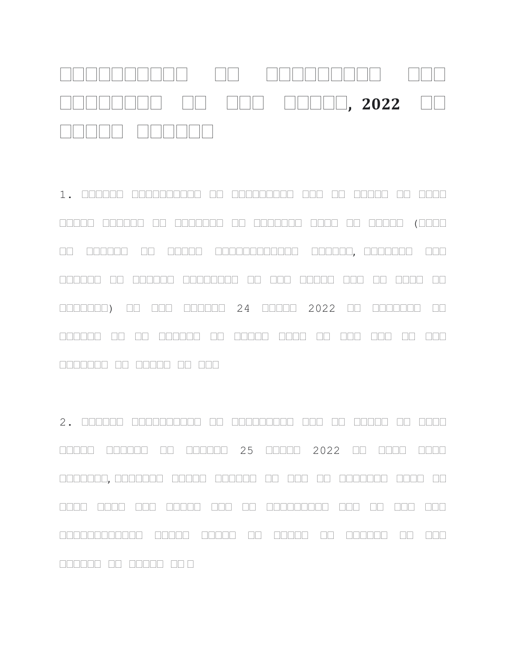

1. मममममम मममममममममम मम ममममममममम ममम मम ममममम मम मममम ममममम मममममम मम ममममममम ममम ममममम । मममम मम मममममम मम ममममम मममममममममममम मममममम, ममममममम ममम मममममम मम मममममम मममममममम मम ममम ममममम ममम मम मममम मम ममममममम) मम ममम मममममम 24 ममममम 2022 मम ममममममम मम मममममम मम मम मममममम मम ममममम मममम मम ममम ममम मम ममम ममममममम मम ममममम मम ममम

 $2.$  Handal and and an and an and an and an and an and an and  $\pi$ ममममम मममममम मम मममममम 25 ममममम 2022 मम मममम मममम ममममममम, ममममममम ममममम मममममम मम ममम मम ममममममम मममम मम मममम मममम ममम ममममम ममम मम ममममममममम ममम मम ममम ममम मममममममममममम ममममम ममममम मम ममममम मम मममममम मम ममम मममममम मम ममममम मम म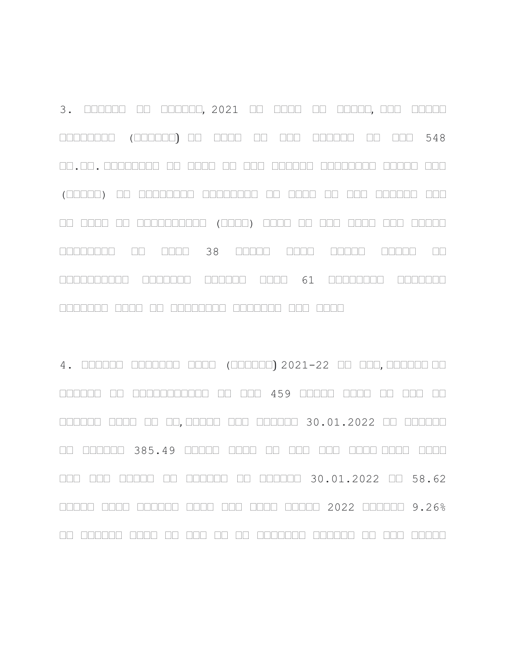3. मममममम मम मममममम, 2021 मम मममम मम ममममम, ममम ममममम मममममममम (मममममम) मम मममम मम ममम मममममम मम ममम 548 मम.मम. मममममममम मम मममम मम ममम मममममम मममममममम ममममम ममम  $(11111)$  is and the proposition of the  $111$   $111$ मम मममम मम मममममममममम (मममम) मममम मम ममम मममम ममम ममममम मममममममम मम मममम 38 ममममम मममम ममममम ममममम मम मममममममममम ममममममम मममममम मममम 61 मममममममम ममममममम मममममम ममम ममममममम मममममम ममम ममम

4. मममममम ममममममम मममम (मममममम) 2021-22 मम ममम, मममममम मम मममममम मम ममममममममममम मम ममम 459 ममममम मममम मम ममम मम मममममम मममम मम मम, ममममम ममम मममममम 30.01.2022 मम मममममम मम मममममम 385.49 ममममम मममम मम ममम ममम मममम मममम मममम ममम ममम ममममम मम मममममम मम मममममम 30.01.2022 मम 58.62 ममममम मममम मममममम मममम ममम मममम ममममम 2022 मममममम 9.26% मम मममममम मममम मम ममम मम मम ममममममम मममममम मम ममम ममममम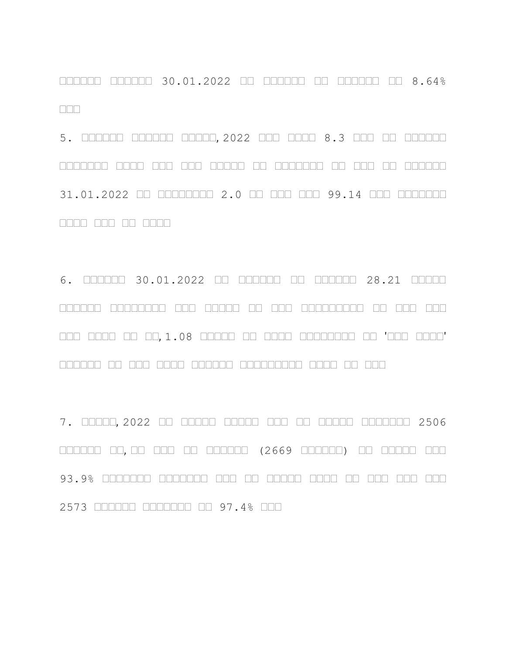मममममम मममममम 30.01.2022 मम मममममम मम मममममम मम 8.64% ममम

5. मममममम मममममम ममममम, 2022 ममम मममम 8.3 ममम मम मममममम ममममममम मममम ममम ममम ममममम मम ममममममम मम ममम मम मममममम 31.01.2022 मम मममममममम 2.0 मम ममम ममम 99.14 ममम ममममममम मममम ममम मम मममम

6. मममममम 30.01.2022 मम मममममम मम मममममम 28.21 ममममम मममममम मममममममम ममम ममममम मम ममम ममममममममम मम ममम ममम ममम मममम मम मम, 1.08 ममममम मम मममम मममममममम मम 'ममम मममम' मममममम मम ममम मममम मममममम ममममममममम मममम मम ममम

7. ममममम, 2022 मम ममममम ममममम ममम मम ममममम ममममममम 2506 मममममम मम, मम ममम मम मममममम (2669 मममममम) मम ममममम ममम 93.9% ममममममम ममममममम ममम मम ममममम मममम मम ममम ममम ममम 2573 मममममम ममममममम मम 97.4% ममम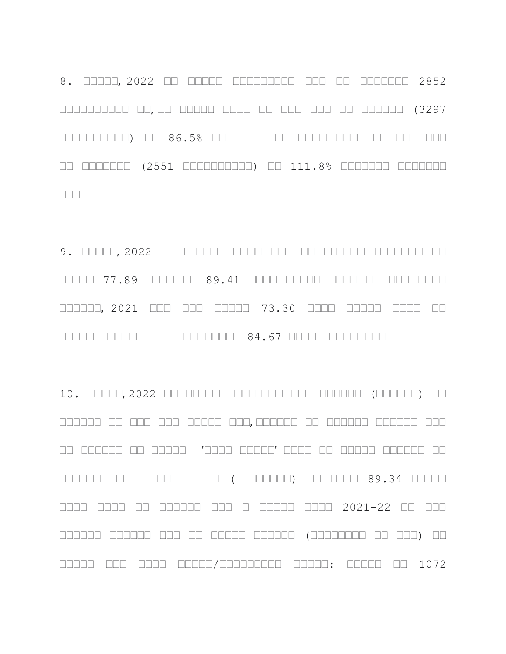8. ममममम, 2022 मम ममममम ममममममममम ममम मम ममममममम 2852 मममममममममम मम, मम ममममम मममम मम ममम ममम मम मममममम (3297 मममममममममम) मम 86.5% ममममममम मम ममममम मममम मम ममम ममम मम ममममममम (2551 मममममममममम) मम 111.8% ममममममम ममममममम ममम

9. ममममम, 2022 मम ममममम ममममम ममम मम मममममम ममममममम मम ममममम 77.89 मममम मम 89.41 मममम ममममम मममम मम ममम मममम मममममम, 2021 ममम ममम ममममम 73.30 मममम ममममम मममम मम ममममम ममम मम ममम ममम ममममम 84.67 मममम ममममम मममम ममम

10. ममममम, 2022 मम ममममम मममममममम ममम मममममम (मममममम) मम मममममम मम ममम ममम ममममम ममम, मममममम मम मममममम मममममम ममम मम मममममम मम ममममम 'मममम ममममम' मममम मम ममममम मममममम मम मममममम मम मम ममममममममम (मममममममम) मम मममम 89.34 ममममम मममम मममम मम मममममम ममम म ममममम मममम 2021-22 मम ममम मममममम मममममम ममम मम ममममम मममममम (मममममममम मम ममम) मम ममममम ममम मममम ममममम/ममममममममम ममममम: ममममम मम 1072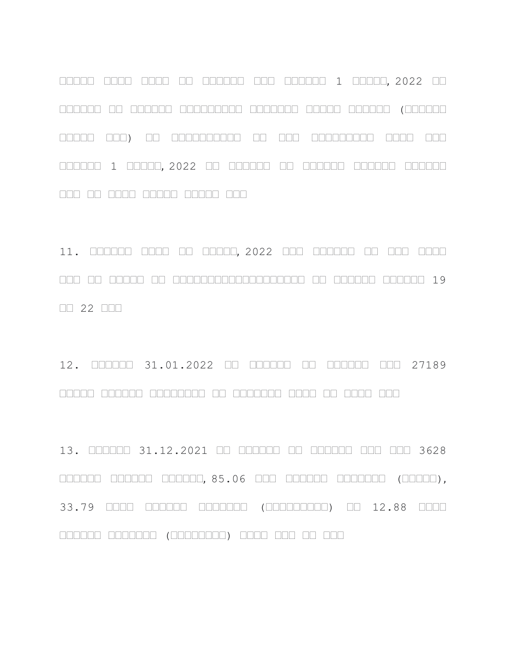ममममम मममम मममम मम मममममम ममम मममममम 1 ममममम, 2022 मम मममममम मम मममममम ममममममममम ममममममम ममममम मममममम (मममममम  $\Box$ मममममम 1 ममममम, 2022 मम मममममम मम मममममम मममममम मममममम ममम मम मममम ममममम ममममम ममम

11. मममममम मममम मम ममममम, 2022 ममम मममममम मम ममम मममम ममम मम ममममम मम ममममममममममममममममममम मम मममममम मममममम 19  $\Box$  22  $\Box$ 

12. मममममम 31.01.2022 मम मममममम मम मममममम ममम 27189 ममममम मममममम मममममममम मम ममममममम मममम मम मममम ममम

13. मममममम 31.12.2021 मम मममममम मम मममममम ममम ममम 3628 मममममम मममममम मममममम, 85.06 ममम मममममम ममममममम (ममममम), 33.79 मममम मममममम ममममममम (ममममममममम) मम 12.88 मममम मममममम ममममममम (मममममममम) मममम ममम मम ममम